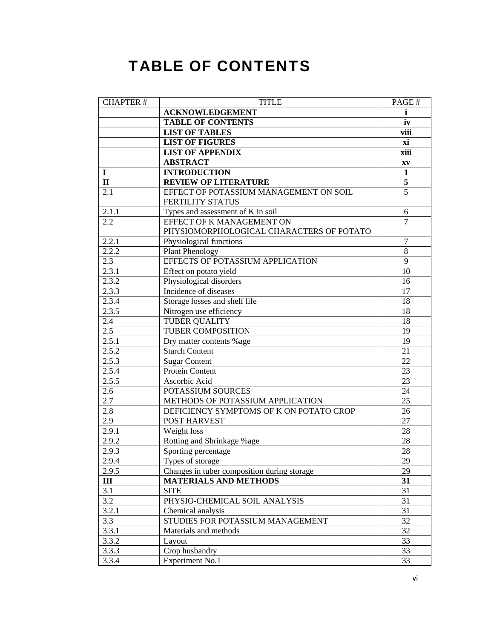## **TABLE OF CONTENTS**

| <b>CHAPTER#</b> | <b>TITLE</b>                                               | PAGE#                  |
|-----------------|------------------------------------------------------------|------------------------|
|                 | <b>ACKNOWLEDGEMENT</b>                                     | i                      |
|                 | <b>TABLE OF CONTENTS</b>                                   | iv                     |
|                 | <b>LIST OF TABLES</b>                                      | viii                   |
|                 | <b>LIST OF FIGURES</b>                                     | xi                     |
|                 | <b>LIST OF APPENDIX</b>                                    | xiii                   |
|                 | <b>ABSTRACT</b>                                            | $\mathbf{X}\mathbf{V}$ |
| 1               | <b>INTRODUCTION</b>                                        | $\mathbf{1}$           |
| $\mathbf{I}$    | <b>REVIEW OF LITERATURE</b>                                | 5                      |
| 2.1             | EFFECT OF POTASSIUM MANAGEMENT ON SOIL<br>FERTILITY STATUS | 5                      |
| 2.1.1           | Types and assessment of K in soil                          | 6                      |
| 2.2             | EFFECT OF K MANAGEMENT ON                                  | $\overline{7}$         |
|                 | PHYSIOMORPHOLOGICAL CHARACTERS OF POTATO                   |                        |
| 2.2.1           | Physiological functions                                    | $\tau$                 |
| 2.2.2           | Plant Phenology                                            | $\overline{8}$         |
| 2.3             | EFFECTS OF POTASSIUM APPLICATION                           | 9                      |
| 2.3.1           | Effect on potato yield                                     | 10                     |
| 2.3.2           | Physiological disorders                                    | 16                     |
| 2.3.3           | Incidence of diseases                                      | 17                     |
| 2.3.4           | Storage losses and shelf life                              | 18                     |
| 2.3.5           | Nitrogen use efficiency                                    | 18                     |
| 2.4             | <b>TUBER QUALITY</b>                                       | 18                     |
| 2.5             | TUBER COMPOSITION                                          | 19                     |
| 2.5.1           | Dry matter contents %age                                   | 19                     |
| 2.5.2           | <b>Starch Content</b>                                      | 21                     |
| 2.5.3           | <b>Sugar Content</b>                                       | 22                     |
| 2.5.4           | Protein Content                                            | 23                     |
| 2.5.5           | Ascorbic Acid                                              | 23                     |
| 2.6             | POTASSIUM SOURCES                                          | 24                     |
| 2.7             | METHODS OF POTASSIUM APPLICATION                           | 25                     |
| 2.8             | DEFICIENCY SYMPTOMS OF K ON POTATO CROP                    | 26                     |
| 2.9             | POST HARVEST                                               | 27                     |
| 2.9.1           | Weight loss                                                | 28                     |
| 2.9.2           | Rotting and Shrinkage %age                                 | 28                     |
| 2.9.3           | Sporting percentage                                        | 28                     |
| 2.9.4           | Types of storage                                           | 29                     |
| 2.9.5           | Changes in tuber composition during storage                | 29                     |
| III             | <b>MATERIALS AND METHODS</b>                               | 31                     |
| 3.1             | <b>SITE</b>                                                | 31                     |
| 3.2             | PHYSIO-CHEMICAL SOIL ANALYSIS                              | 31                     |
| 3.2.1           | Chemical analysis                                          | 31                     |
| 3.3             | STUDIES FOR POTASSIUM MANAGEMENT                           | 32                     |
| 3.3.1           | Materials and methods                                      | 32                     |
| 3.3.2           | Layout                                                     | 33                     |
| 3.3.3           | Crop husbandry                                             | 33                     |
| 3.3.4           | <b>Experiment No.1</b>                                     | 33                     |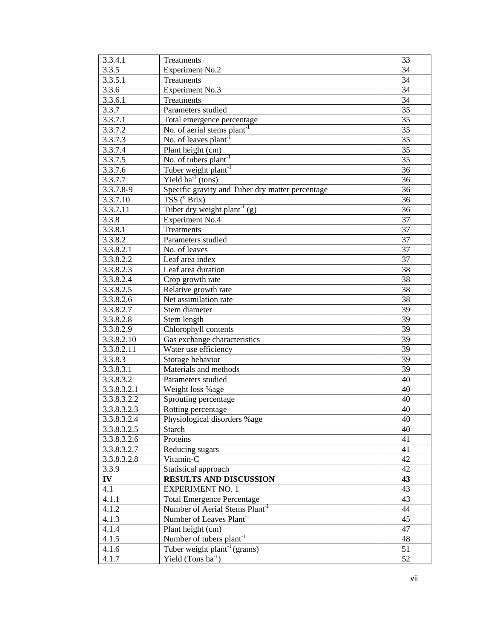| 3.3.4.1     | Treatments                                       | 33 |
|-------------|--------------------------------------------------|----|
| 3.3.5       | <b>Experiment No.2</b>                           | 34 |
| 3.3.5.1     | Treatments                                       | 34 |
| 3.3.6       | Experiment No.3                                  | 34 |
| 3.3.6.1     | Treatments                                       | 34 |
| 3.3.7       | Parameters studied                               | 35 |
| 3.3.7.1     | Total emergence percentage                       | 35 |
| 3.3.7.2     | No. of aerial stems $plant^{-1}$                 | 35 |
| 3.3.7.3     | No. of leaves plant <sup>-1</sup>                | 35 |
| 3.3.7.4     | Plant height (cm)                                | 35 |
| 3.3.7.5     | No. of tubers plant <sup>-1</sup>                | 35 |
| 3.3.7.6     | Tuber weight plant <sup>-1</sup>                 | 36 |
| 3.3.7.7     | Yield $ha^{-1}$ (tons)                           | 36 |
| 3.3.7.8-9   | Specific gravity and Tuber dry matter percentage | 36 |
| 3.3.7.10    | TSS (° Brix)                                     | 36 |
| 3.3.7.11    | Tuber dry weight plant <sup>-1</sup> (g)         | 36 |
| 3.3.8       | <b>Experiment No.4</b>                           | 37 |
| 3.3.8.1     | Treatments                                       | 37 |
| 3.3.8.2     | Parameters studied                               | 37 |
| 3.3.8.2.1   | No. of leaves                                    | 37 |
| 3.3.8.2.2   | Leaf area index                                  | 37 |
| 3.3.8.2.3   | Leaf area duration                               | 38 |
| 3.3.8.2.4   | Crop growth rate                                 | 38 |
| 3.3.8.2.5   | Relative growth rate                             | 38 |
| 3.3.8.2.6   | Net assimilation rate                            | 38 |
| 3.3.8.2.7   | Stem diameter                                    | 39 |
| 3.3.8.2.8   |                                                  | 39 |
| 3.3.8.2.9   | Stem length<br>Chlorophyll contents              | 39 |
|             |                                                  | 39 |
| 3.3.8.2.10  | Gas exchange characteristics                     | 39 |
| 3.3.8.2.11  | Water use efficiency                             | 39 |
| 3.3.8.3     | Storage behavior<br>Materials and methods        | 39 |
| 3.3.8.3.1   | Parameters studied                               |    |
| 3.3.8.3.2   |                                                  | 40 |
| 3.3.8.3.2.1 | Weight loss %age                                 | 40 |
| 3.3.8.3.2.2 | Sprouting percentage                             | 40 |
| 3.3.8.3.2.3 | Rotting percentage                               | 40 |
| 3.3.8.3.2.4 | Physiological disorders %age                     | 40 |
| 3.3.8.3.2.5 | <b>Starch</b>                                    | 40 |
| 3.3.8.3.2.6 | Proteins                                         | 41 |
| 3.3.8.3.2.7 | Reducing sugars                                  | 41 |
| 3.3.8.3.2.8 | Vitamin-C                                        | 42 |
| 3.3.9       | Statistical approach                             | 42 |
| IV          | <b>RESULTS AND DISCUSSION</b>                    | 43 |
| 4.1         | <b>EXPERIMENT NO. 1</b>                          | 43 |
| 4.1.1       | <b>Total Emergence Percentage</b>                | 43 |
| 4.1.2       | Number of Aerial Stems Plant <sup>-1</sup>       | 44 |
| 4.1.3       | Number of Leaves Plant <sup>-1</sup>             | 45 |
| 4.1.4       | Plant height (cm)                                | 47 |
| 4.1.5       | Number of tubers plant <sup>-1</sup>             | 48 |
| 4.1.6       | Tuber weight $\text{plant}^{-1}(\text{grams})$   | 51 |
| 4.1.7       | Yield $(Tons ha^{-1})$                           | 52 |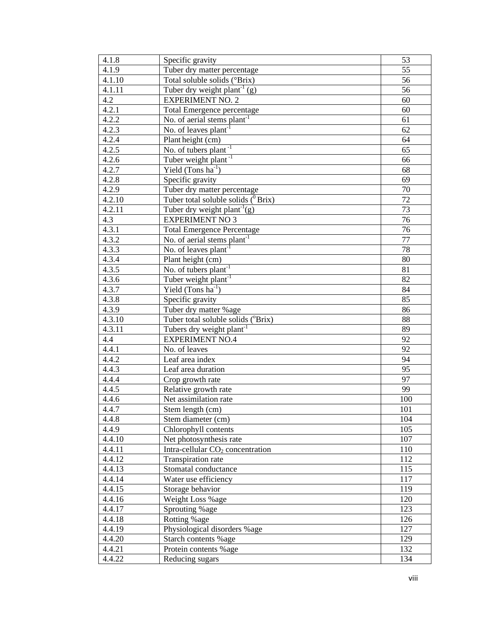| 4.1.8            | Specific gravity                                            | 53              |
|------------------|-------------------------------------------------------------|-----------------|
| 4.1.9            | Tuber dry matter percentage                                 | 55              |
| 4.1.10           | Total soluble solids (°Brix)                                | 56              |
| 4.1.11           | Tuber dry weight plant <sup>-1</sup> (g)                    | 56              |
| 4.2              | <b>EXPERIMENT NO. 2</b>                                     | 60              |
| 4.2.1            | Total Emergence percentage                                  | 60              |
| 4.2.2            | No. of aerial stems $\overline{plant}^{-1}$                 | 61              |
| 4.2.3            | No. of leaves plant <sup>-1</sup>                           | 62              |
| 4.2.4            | Plant height (cm)                                           | 64              |
| 4.2.5            | No. of tubers plant <sup>-1</sup>                           | 65              |
| 4.2.6            | Tuber weight plant <sup>-1</sup>                            | 66              |
| 4.2.7            | Yield $(Tons ha^{-1})$                                      | 68              |
| 4.2.8            | Specific gravity                                            | 69              |
| 4.2.9            | Tuber dry matter percentage                                 | 70              |
| 4.2.10           | Tuber total soluble solids $(^0$ Brix)                      | $\overline{72}$ |
| 4.2.11           | Tuber dry weight plant <sup>-1</sup> (g)                    | 73              |
| 4.3              | <b>EXPERIMENT NO 3</b>                                      | 76              |
| 4.3.1            | <b>Total Emergence Percentage</b>                           | 76              |
| 4.3.2            | No. of aerial stems $plant^{-1}$                            | 77              |
| 4.3.3            | No. of leaves $plant^{-1}$                                  | 78              |
| 4.3.4            | Plant height (cm)                                           | 80              |
| 4.3.5            | No. of tubers $\overline{\text{plant}}^{-1}$                | 81              |
| 4.3.6            | Tuber weight plant <sup>-1</sup>                            | 82              |
| 4.3.7            | Yield $(Tons ha^{-1})$                                      | 84              |
| 4.3.8            | Specific gravity                                            | 85              |
| 4.3.9            |                                                             | 86              |
| 4.3.10           | Tuber dry matter %age<br>Tuber total soluble solids (°Brix) | 88              |
| 4.3.11           | Tubers dry weight plant <sup>-1</sup>                       | 89              |
| 4.4              | <b>EXPERIMENT NO.4</b>                                      | 92              |
| 4.4.1            | No. of leaves                                               | 92              |
| 4.4.2            | Leaf area index                                             | 94              |
| 4.4.3            | Leaf area duration                                          | 95              |
|                  |                                                             | 97              |
| 4.4.4            | Crop growth rate                                            | 99              |
| 4.4.5            | Relative growth rate<br>Net assimilation rate               |                 |
| 4.4.6            |                                                             | 100             |
| 4.4.7            | Stem length (cm)                                            | 101             |
| 4.4.8            | Stem diameter (cm)                                          | 104             |
| 4.4.9            | Chlorophyll contents                                        | 105             |
| 4.4.10<br>4.4.11 | Net photosynthesis rate                                     | 107             |
|                  | Intra-cellular $CO2$ concentration                          | 110             |
| 4.4.12           | Transpiration rate                                          | 112             |
| 4.4.13           | Stomatal conductance                                        | 115             |
| 4.4.14           | Water use efficiency                                        | 117             |
| 4.4.15           | Storage behavior                                            | 119             |
| 4.4.16           | Weight Loss %age                                            | 120             |
| 4.4.17           | Sprouting %age                                              | 123             |
| 4.4.18           | Rotting %age                                                | 126             |
| 4.4.19           | Physiological disorders %age                                | 127             |
| 4.4.20           | Starch contents %age                                        | 129             |
| 4.4.21           | Protein contents % age                                      | 132             |
| 4.4.22           | Reducing sugars                                             | 134             |